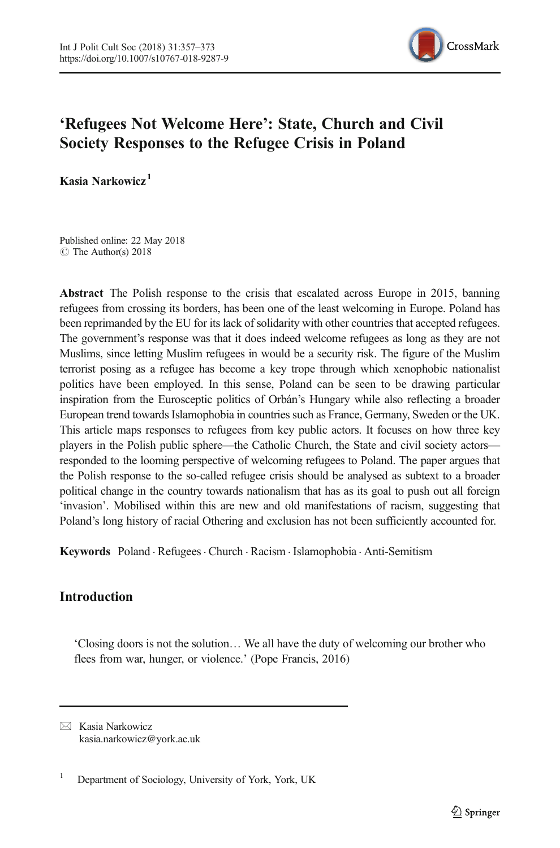

# 'Refugees Not Welcome Here': State, Church and Civil Society Responses to the Refugee Crisis in Poland

Kasia Narkowicz <sup>1</sup>

Published online: 22 May 2018  $\circ$  The Author(s) 2018

Abstract The Polish response to the crisis that escalated across Europe in 2015, banning refugees from crossing its borders, has been one of the least welcoming in Europe. Poland has been reprimanded by the EU for its lack of solidarity with other countries that accepted refugees. The government's response was that it does indeed welcome refugees as long as they are not Muslims, since letting Muslim refugees in would be a security risk. The figure of the Muslim terrorist posing as a refugee has become a key trope through which xenophobic nationalist politics have been employed. In this sense, Poland can be seen to be drawing particular inspiration from the Eurosceptic politics of Orbán's Hungary while also reflecting a broader European trend towards Islamophobia in countries such as France, Germany, Sweden or the UK. This article maps responses to refugees from key public actors. It focuses on how three key players in the Polish public sphere—the Catholic Church, the State and civil society actors responded to the looming perspective of welcoming refugees to Poland. The paper argues that the Polish response to the so-called refugee crisis should be analysed as subtext to a broader political change in the country towards nationalism that has as its goal to push out all foreign 'invasion'. Mobilised within this are new and old manifestations of racism, suggesting that Poland's long history of racial Othering and exclusion has not been sufficiently accounted for.

Keywords Poland . Refugees. Church . Racism . Islamophobia . Anti-Semitism

## **Introduction**

'Closing doors is not the solution… We all have the duty of welcoming our brother who flees from war, hunger, or violence.' (Pope Francis, 2016)

 $\boxtimes$  Kasia Narkowicz [kasia.narkowicz@york.ac.uk](mailto:kasia.narkowicz@york.ac.uk)

<sup>&</sup>lt;sup>1</sup> Department of Sociology, University of York, York, UK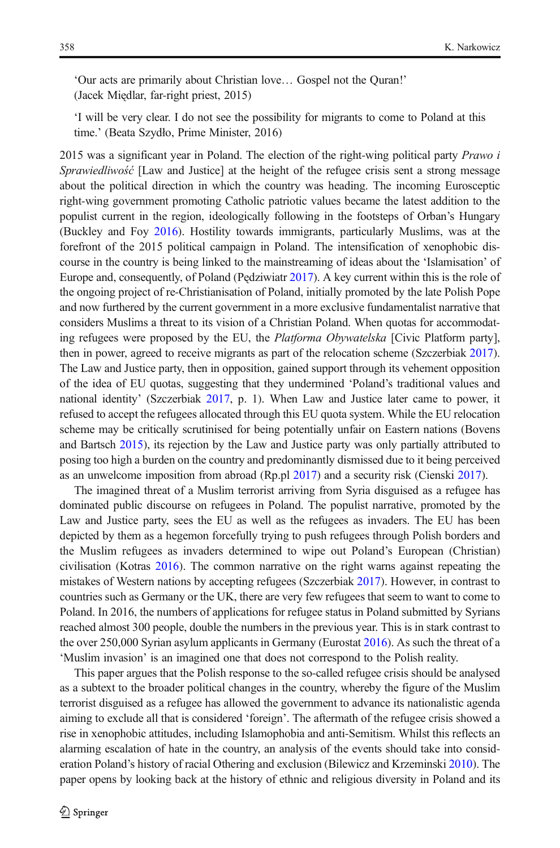'Our acts are primarily about Christian love… Gospel not the Quran!' (Jacek Międlar, far-right priest, 2015)

'I will be very clear. I do not see the possibility for migrants to come to Poland at this time.' (Beata Szydło, Prime Minister, 2016)

2015 was a significant year in Poland. The election of the right-wing political party Prawo i Sprawiedliwość [Law and Justice] at the height of the refugee crisis sent a strong message about the political direction in which the country was heading. The incoming Eurosceptic right-wing government promoting Catholic patriotic values became the latest addition to the populist current in the region, ideologically following in the footsteps of Orban's Hungary (Buckley and Foy [2016\)](#page-13-0). Hostility towards immigrants, particularly Muslims, was at the forefront of the 2015 political campaign in Poland. The intensification of xenophobic discourse in the country is being linked to the mainstreaming of ideas about the 'Islamisation' of Europe and, consequently, of Poland (Pędziwiatr [2017\)](#page-15-0). A key current within this is the role of the ongoing project of re-Christianisation of Poland, initially promoted by the late Polish Pope and now furthered by the current government in a more exclusive fundamentalist narrative that considers Muslims a threat to its vision of a Christian Poland. When quotas for accommodating refugees were proposed by the EU, the *Platforma Obywatelska* [Civic Platform party], then in power, agreed to receive migrants as part of the relocation scheme (Szczerbiak [2017](#page-16-0)). The Law and Justice party, then in opposition, gained support through its vehement opposition of the idea of EU quotas, suggesting that they undermined 'Poland's traditional values and national identity' (Szczerbiak [2017](#page-16-0), p. 1). When Law and Justice later came to power, it refused to accept the refugees allocated through this EU quota system. While the EU relocation scheme may be critically scrutinised for being potentially unfair on Eastern nations (Bovens and Bartsch [2015](#page-13-0)), its rejection by the Law and Justice party was only partially attributed to posing too high a burden on the country and predominantly dismissed due to it being perceived as an unwelcome imposition from abroad (Rp.pl [2017\)](#page-15-0) and a security risk (Cienski [2017\)](#page-14-0).

The imagined threat of a Muslim terrorist arriving from Syria disguised as a refugee has dominated public discourse on refugees in Poland. The populist narrative, promoted by the Law and Justice party, sees the EU as well as the refugees as invaders. The EU has been depicted by them as a hegemon forcefully trying to push refugees through Polish borders and the Muslim refugees as invaders determined to wipe out Poland's European (Christian) civilisation (Kotras [2016](#page-15-0)). The common narrative on the right warns against repeating the mistakes of Western nations by accepting refugees (Szczerbiak [2017\)](#page-16-0). However, in contrast to countries such as Germany or the UK, there are very few refugees that seem to want to come to Poland. In 2016, the numbers of applications for refugee status in Poland submitted by Syrians reached almost 300 people, double the numbers in the previous year. This is in stark contrast to the over 250,000 Syrian asylum applicants in Germany (Eurostat [2016](#page-14-0)). As such the threat of a 'Muslim invasion' is an imagined one that does not correspond to the Polish reality.

This paper argues that the Polish response to the so-called refugee crisis should be analysed as a subtext to the broader political changes in the country, whereby the figure of the Muslim terrorist disguised as a refugee has allowed the government to advance its nationalistic agenda aiming to exclude all that is considered 'foreign'. The aftermath of the refugee crisis showed a rise in xenophobic attitudes, including Islamophobia and anti-Semitism. Whilst this reflects an alarming escalation of hate in the country, an analysis of the events should take into consideration Poland's history of racial Othering and exclusion (Bilewicz and Krzeminski [2010\)](#page-13-0). The paper opens by looking back at the history of ethnic and religious diversity in Poland and its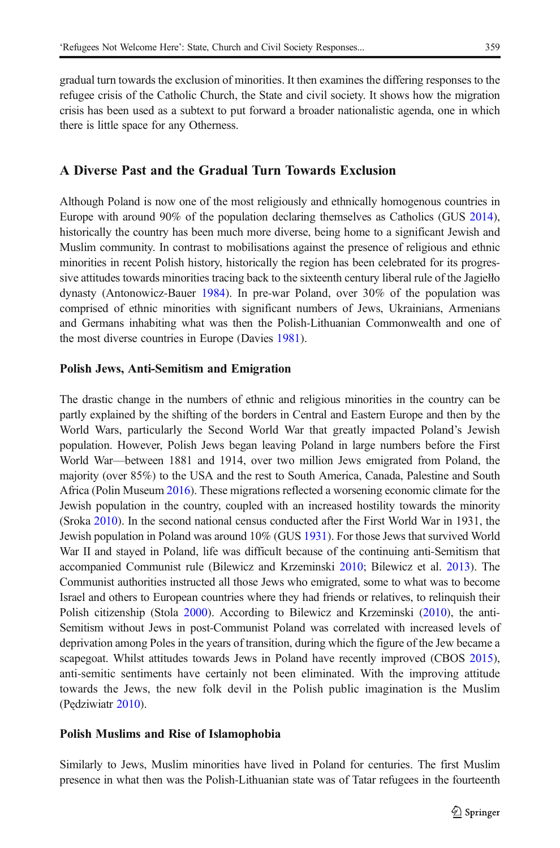gradual turn towards the exclusion of minorities. It then examines the differing responses to the refugee crisis of the Catholic Church, the State and civil society. It shows how the migration crisis has been used as a subtext to put forward a broader nationalistic agenda, one in which there is little space for any Otherness.

## A Diverse Past and the Gradual Turn Towards Exclusion

Although Poland is now one of the most religiously and ethnically homogenous countries in Europe with around 90% of the population declaring themselves as Catholics (GUS [2014](#page-14-0)), historically the country has been much more diverse, being home to a significant Jewish and Muslim community. In contrast to mobilisations against the presence of religious and ethnic minorities in recent Polish history, historically the region has been celebrated for its progressive attitudes towards minorities tracing back to the sixteenth century liberal rule of the Jagiełło dynasty (Antonowicz-Bauer [1984\)](#page-13-0). In pre-war Poland, over 30% of the population was comprised of ethnic minorities with significant numbers of Jews, Ukrainians, Armenians and Germans inhabiting what was then the Polish-Lithuanian Commonwealth and one of the most diverse countries in Europe (Davies [1981\)](#page-14-0).

## Polish Jews, Anti-Semitism and Emigration

The drastic change in the numbers of ethnic and religious minorities in the country can be partly explained by the shifting of the borders in Central and Eastern Europe and then by the World Wars, particularly the Second World War that greatly impacted Poland's Jewish population. However, Polish Jews began leaving Poland in large numbers before the First World War—between 1881 and 1914, over two million Jews emigrated from Poland, the majority (over 85%) to the USA and the rest to South America, Canada, Palestine and South Africa (Polin Museum [2016](#page-15-0)). These migrations reflected a worsening economic climate for the Jewish population in the country, coupled with an increased hostility towards the minority (Sroka [2010](#page-15-0)). In the second national census conducted after the First World War in 1931, the Jewish population in Poland was around 10% (GUS [1931\)](#page-14-0). For those Jews that survived World War II and stayed in Poland, life was difficult because of the continuing anti-Semitism that accompanied Communist rule (Bilewicz and Krzeminski [2010](#page-13-0); Bilewicz et al. [2013](#page-13-0)). The Communist authorities instructed all those Jews who emigrated, some to what was to become Israel and others to European countries where they had friends or relatives, to relinquish their Polish citizenship (Stola [2000\)](#page-16-0). According to Bilewicz and Krzeminski [\(2010\)](#page-13-0), the anti-Semitism without Jews in post-Communist Poland was correlated with increased levels of deprivation among Poles in the years of transition, during which the figure of the Jew became a scapegoat. Whilst attitudes towards Jews in Poland have recently improved (CBOS [2015](#page-14-0)), anti-semitic sentiments have certainly not been eliminated. With the improving attitude towards the Jews, the new folk devil in the Polish public imagination is the Muslim (Pędziwiatr [2010\)](#page-15-0).

#### Polish Muslims and Rise of Islamophobia

Similarly to Jews, Muslim minorities have lived in Poland for centuries. The first Muslim presence in what then was the Polish-Lithuanian state was of Tatar refugees in the fourteenth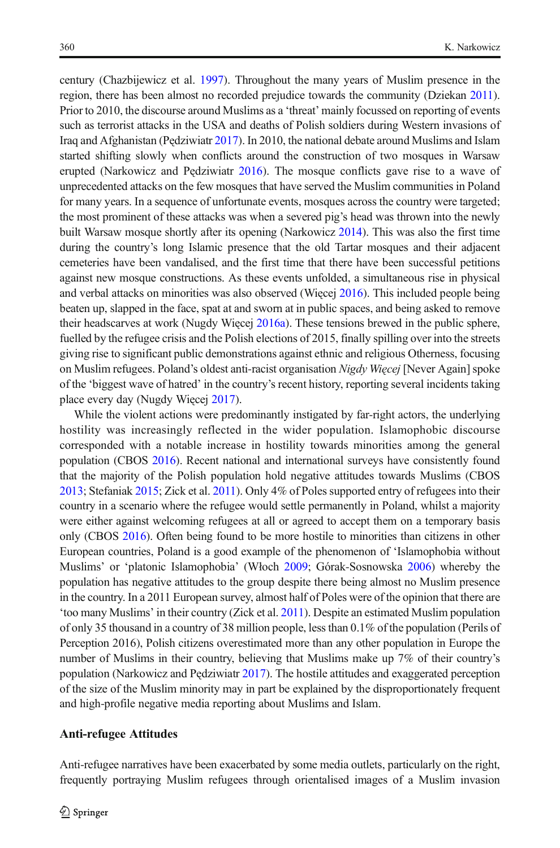century (Chazbijewicz et al. [1997\)](#page-14-0). Throughout the many years of Muslim presence in the region, there has been almost no recorded prejudice towards the community (Dziekan [2011](#page-14-0)). Prior to 2010, the discourse around Muslims as a 'threat' mainly focussed on reporting of events such as terrorist attacks in the USA and deaths of Polish soldiers during Western invasions of Iraq and Afghanistan (Pędziwiatr [2017](#page-15-0)). In 2010, the national debate around Muslims and Islam started shifting slowly when conflicts around the construction of two mosques in Warsaw erupted (Narkowicz and Pędziwiatr [2016](#page-15-0)). The mosque conflicts gave rise to a wave of unprecedented attacks on the few mosques that have served the Muslim communities in Poland for many years. In a sequence of unfortunate events, mosques across the country were targeted; the most prominent of these attacks was when a severed pig's head was thrown into the newly built Warsaw mosque shortly after its opening (Narkowicz [2014](#page-15-0)). This was also the first time during the country's long Islamic presence that the old Tartar mosques and their adjacent cemeteries have been vandalised, and the first time that there have been successful petitions against new mosque constructions. As these events unfolded, a simultaneous rise in physical and verbal attacks on minorities was also observed (Więcej [2016](#page-16-0)). This included people being beaten up, slapped in the face, spat at and sworn at in public spaces, and being asked to remove their headscarves at work (Nugdy Więcej [2016a](#page-15-0)). These tensions brewed in the public sphere, fuelled by the refugee crisis and the Polish elections of 2015, finally spilling over into the streets giving rise to significant public demonstrations against ethnic and religious Otherness, focusing on Muslim refugees. Poland's oldest anti-racist organisation Nigdy Więcej [Never Again] spoke of the 'biggest wave of hatred' in the country's recent history, reporting several incidents taking place every day (Nugdy Więcej [2017\)](#page-16-0).

While the violent actions were predominantly instigated by far-right actors, the underlying hostility was increasingly reflected in the wider population. Islamophobic discourse corresponded with a notable increase in hostility towards minorities among the general population (CBOS [2016\)](#page-14-0). Recent national and international surveys have consistently found that the majority of the Polish population hold negative attitudes towards Muslims (CBOS [2013](#page-14-0); Stefaniak [2015;](#page-16-0) Zick et al. [2011](#page-16-0)). Only 4% of Poles supported entry of refugees into their country in a scenario where the refugee would settle permanently in Poland, whilst a majority were either against welcoming refugees at all or agreed to accept them on a temporary basis only (CBOS [2016\)](#page-14-0). Often being found to be more hostile to minorities than citizens in other European countries, Poland is a good example of the phenomenon of 'Islamophobia without Muslims' or 'platonic Islamophobia' (Włoch [2009;](#page-16-0) Górak-Sosnowska [2006\)](#page-14-0) whereby the population has negative attitudes to the group despite there being almost no Muslim presence in the country. In a 2011 European survey, almost half of Poles were of the opinion that there are 'too many Muslims' in their country (Zick et al. [2011\)](#page-16-0). Despite an estimated Muslim population of only 35 thousand in a country of 38 million people, less than 0.1% of the population (Perils of Perception 2016), Polish citizens overestimated more than any other population in Europe the number of Muslims in their country, believing that Muslims make up 7% of their country's population (Narkowicz and Pędziwiatr [2017\)](#page-15-0). The hostile attitudes and exaggerated perception of the size of the Muslim minority may in part be explained by the disproportionately frequent and high-profile negative media reporting about Muslims and Islam.

#### Anti-refugee Attitudes

Anti-refugee narratives have been exacerbated by some media outlets, particularly on the right, frequently portraying Muslim refugees through orientalised images of a Muslim invasion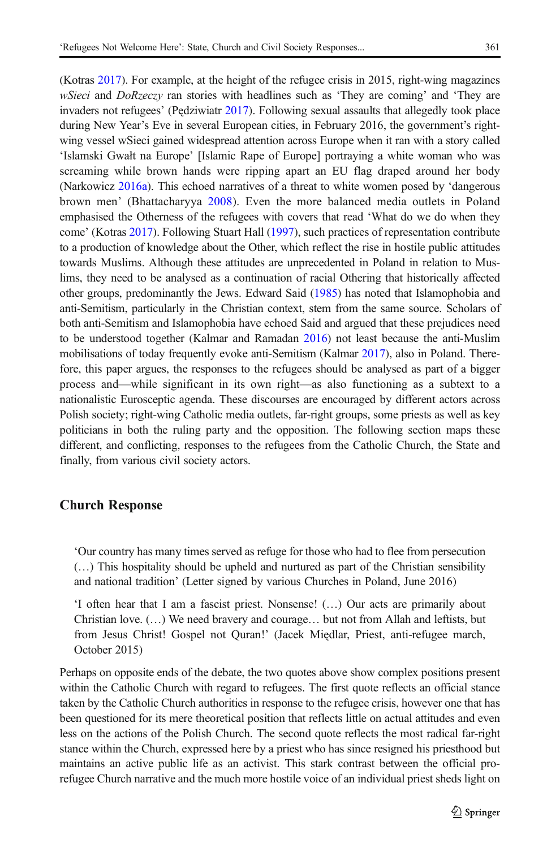(Kotras [2017](#page-15-0)). For example, at the height of the refugee crisis in 2015, right-wing magazines wSieci and DoRzeczy ran stories with headlines such as 'They are coming' and 'They are invaders not refugees' (Pędziwiatr [2017](#page-15-0)). Following sexual assaults that allegedly took place during New Year's Eve in several European cities, in February 2016, the government's rightwing vessel wSieci gained widespread attention across Europe when it ran with a story called 'Islamski Gwałt na Europe' [Islamic Rape of Europe] portraying a white woman who was screaming while brown hands were ripping apart an EU flag draped around her body (Narkowicz [2016a](#page-15-0)). This echoed narratives of a threat to white women posed by 'dangerous brown men' (Bhattacharyya [2008](#page-13-0)). Even the more balanced media outlets in Poland emphasised the Otherness of the refugees with covers that read 'What do we do when they come' (Kotras [2017](#page-15-0)). Following Stuart Hall [\(1997\)](#page-14-0), such practices of representation contribute to a production of knowledge about the Other, which reflect the rise in hostile public attitudes towards Muslims. Although these attitudes are unprecedented in Poland in relation to Muslims, they need to be analysed as a continuation of racial Othering that historically affected other groups, predominantly the Jews. Edward Said [\(1985\)](#page-15-0) has noted that Islamophobia and anti-Semitism, particularly in the Christian context, stem from the same source. Scholars of both anti-Semitism and Islamophobia have echoed Said and argued that these prejudices need to be understood together (Kalmar and Ramadan [2016\)](#page-14-0) not least because the anti-Muslim mobilisations of today frequently evoke anti-Semitism (Kalmar [2017](#page-14-0)), also in Poland. Therefore, this paper argues, the responses to the refugees should be analysed as part of a bigger process and—while significant in its own right—as also functioning as a subtext to a nationalistic Eurosceptic agenda. These discourses are encouraged by different actors across Polish society; right-wing Catholic media outlets, far-right groups, some priests as well as key politicians in both the ruling party and the opposition. The following section maps these different, and conflicting, responses to the refugees from the Catholic Church, the State and finally, from various civil society actors.

## Church Response

'Our country has many times served as refuge for those who had to flee from persecution (…) This hospitality should be upheld and nurtured as part of the Christian sensibility and national tradition' (Letter signed by various Churches in Poland, June 2016)

'I often hear that I am a fascist priest. Nonsense! (…) Our acts are primarily about Christian love. (…) We need bravery and courage… but not from Allah and leftists, but from Jesus Christ! Gospel not Quran!' (Jacek Międlar, Priest, anti-refugee march, October 2015)

Perhaps on opposite ends of the debate, the two quotes above show complex positions present within the Catholic Church with regard to refugees. The first quote reflects an official stance taken by the Catholic Church authorities in response to the refugee crisis, however one that has been questioned for its mere theoretical position that reflects little on actual attitudes and even less on the actions of the Polish Church. The second quote reflects the most radical far-right stance within the Church, expressed here by a priest who has since resigned his priesthood but maintains an active public life as an activist. This stark contrast between the official prorefugee Church narrative and the much more hostile voice of an individual priest sheds light on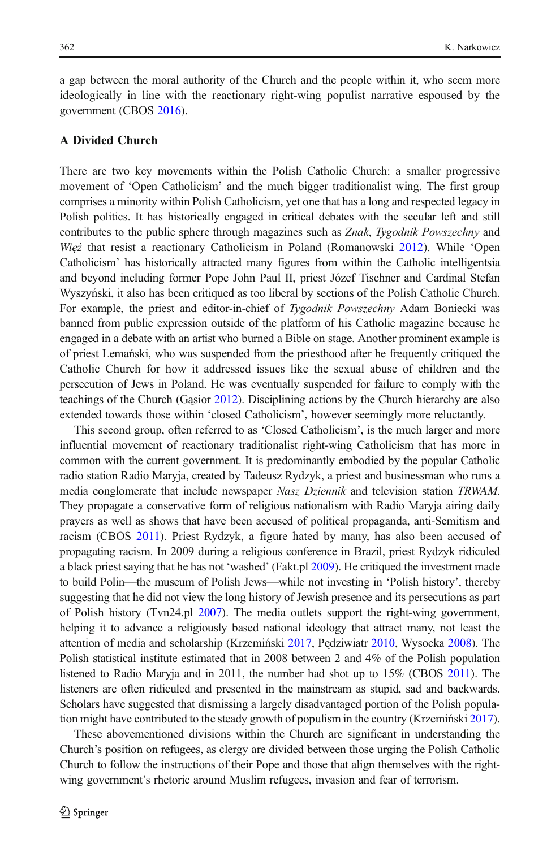a gap between the moral authority of the Church and the people within it, who seem more ideologically in line with the reactionary right-wing populist narrative espoused by the government (CBOS [2016](#page-14-0)).

#### A Divided Church

There are two key movements within the Polish Catholic Church: a smaller progressive movement of 'Open Catholicism' and the much bigger traditionalist wing. The first group comprises a minority within Polish Catholicism, yet one that has a long and respected legacy in Polish politics. It has historically engaged in critical debates with the secular left and still contributes to the public sphere through magazines such as Znak, Tygodnik Powszechny and Więź that resist a reactionary Catholicism in Poland (Romanowski [2012](#page-15-0)). While 'Open Catholicism' has historically attracted many figures from within the Catholic intelligentsia and beyond including former Pope John Paul II, priest Józef Tischner and Cardinal Stefan Wyszyński, it also has been critiqued as too liberal by sections of the Polish Catholic Church. For example, the priest and editor-in-chief of Tygodnik Powszechny Adam Boniecki was banned from public expression outside of the platform of his Catholic magazine because he engaged in a debate with an artist who burned a Bible on stage. Another prominent example is of priest Lemański, who was suspended from the priesthood after he frequently critiqued the Catholic Church for how it addressed issues like the sexual abuse of children and the persecution of Jews in Poland. He was eventually suspended for failure to comply with the teachings of the Church (Gąsior [2012\)](#page-14-0). Disciplining actions by the Church hierarchy are also extended towards those within 'closed Catholicism', however seemingly more reluctantly.

This second group, often referred to as 'Closed Catholicism', is the much larger and more influential movement of reactionary traditionalist right-wing Catholicism that has more in common with the current government. It is predominantly embodied by the popular Catholic radio station Radio Maryja, created by Tadeusz Rydzyk, a priest and businessman who runs a media conglomerate that include newspaper Nasz Dziennik and television station TRWAM. They propagate a conservative form of religious nationalism with Radio Maryja airing daily prayers as well as shows that have been accused of political propaganda, anti-Semitism and racism (CBOS [2011\)](#page-14-0). Priest Rydzyk, a figure hated by many, has also been accused of propagating racism. In 2009 during a religious conference in Brazil, priest Rydzyk ridiculed a black priest saying that he has not 'washed' (Fakt.pl [2009\)](#page-14-0). He critiqued the investment made to build Polin—the museum of Polish Jews—while not investing in 'Polish history', thereby suggesting that he did not view the long history of Jewish presence and its persecutions as part of Polish history (Tvn24.pl [2007](#page-16-0)). The media outlets support the right-wing government, helping it to advance a religiously based national ideology that attract many, not least the attention of media and scholarship (Krzemiński [2017,](#page-15-0) Pędziwiatr [2010,](#page-15-0) Wysocka [2008](#page-16-0)). The Polish statistical institute estimated that in 2008 between 2 and 4% of the Polish population listened to Radio Maryja and in 2011, the number had shot up to 15% (CBOS [2011\)](#page-14-0). The listeners are often ridiculed and presented in the mainstream as stupid, sad and backwards. Scholars have suggested that dismissing a largely disadvantaged portion of the Polish population might have contributed to the steady growth of populism in the country (Krzemiński [2017](#page-15-0)).

These abovementioned divisions within the Church are significant in understanding the Church's position on refugees, as clergy are divided between those urging the Polish Catholic Church to follow the instructions of their Pope and those that align themselves with the rightwing government's rhetoric around Muslim refugees, invasion and fear of terrorism.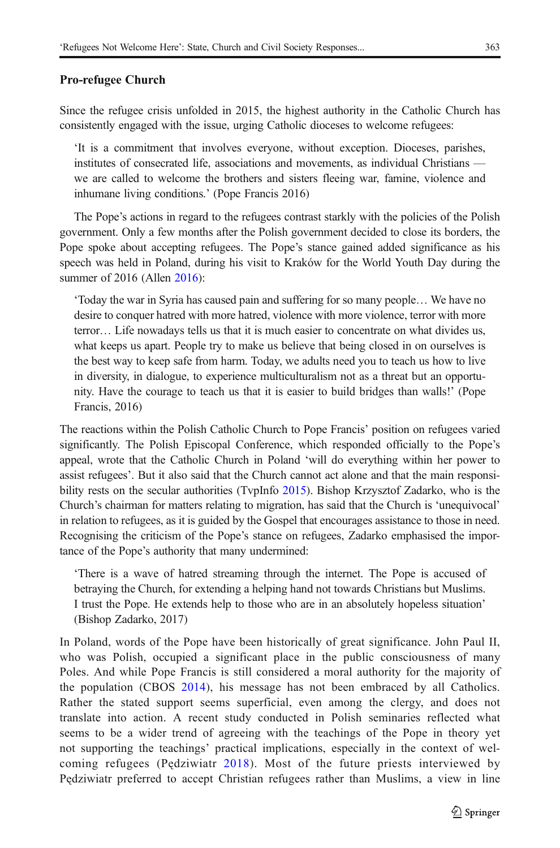### Pro-refugee Church

Since the refugee crisis unfolded in 2015, the highest authority in the Catholic Church has consistently engaged with the issue, urging Catholic dioceses to welcome refugees:

'It is a commitment that involves everyone, without exception. Dioceses, parishes, institutes of consecrated life, associations and movements, as individual Christians we are called to welcome the brothers and sisters fleeing war, famine, violence and inhumane living conditions.' (Pope Francis 2016)

The Pope's actions in regard to the refugees contrast starkly with the policies of the Polish government. Only a few months after the Polish government decided to close its borders, the Pope spoke about accepting refugees. The Pope's stance gained added significance as his speech was held in Poland, during his visit to Kraków for the World Youth Day during the summer of 2016 (Allen [2016\)](#page-13-0):

'Today the war in Syria has caused pain and suffering for so many people… We have no desire to conquer hatred with more hatred, violence with more violence, terror with more terror… Life nowadays tells us that it is much easier to concentrate on what divides us, what keeps us apart. People try to make us believe that being closed in on ourselves is the best way to keep safe from harm. Today, we adults need you to teach us how to live in diversity, in dialogue, to experience multiculturalism not as a threat but an opportunity. Have the courage to teach us that it is easier to build bridges than walls!' (Pope Francis, 2016)

The reactions within the Polish Catholic Church to Pope Francis' position on refugees varied significantly. The Polish Episcopal Conference, which responded officially to the Pope's appeal, wrote that the Catholic Church in Poland 'will do everything within her power to assist refugees'. But it also said that the Church cannot act alone and that the main responsi-bility rests on the secular authorities (TvpInfo [2015](#page-16-0)). Bishop Krzysztof Zadarko, who is the Church's chairman for matters relating to migration, has said that the Church is 'unequivocal' in relation to refugees, as it is guided by the Gospel that encourages assistance to those in need. Recognising the criticism of the Pope's stance on refugees, Zadarko emphasised the importance of the Pope's authority that many undermined:

'There is a wave of hatred streaming through the internet. The Pope is accused of betraying the Church, for extending a helping hand not towards Christians but Muslims. I trust the Pope. He extends help to those who are in an absolutely hopeless situation' (Bishop Zadarko, 2017)

In Poland, words of the Pope have been historically of great significance. John Paul II, who was Polish, occupied a significant place in the public consciousness of many Poles. And while Pope Francis is still considered a moral authority for the majority of the population (CBOS [2014\)](#page-14-0), his message has not been embraced by all Catholics. Rather the stated support seems superficial, even among the clergy, and does not translate into action. A recent study conducted in Polish seminaries reflected what seems to be a wider trend of agreeing with the teachings of the Pope in theory yet not supporting the teachings' practical implications, especially in the context of welcoming refugees (Pędziwiatr [2018](#page-15-0)). Most of the future priests interviewed by Pędziwiatr preferred to accept Christian refugees rather than Muslims, a view in line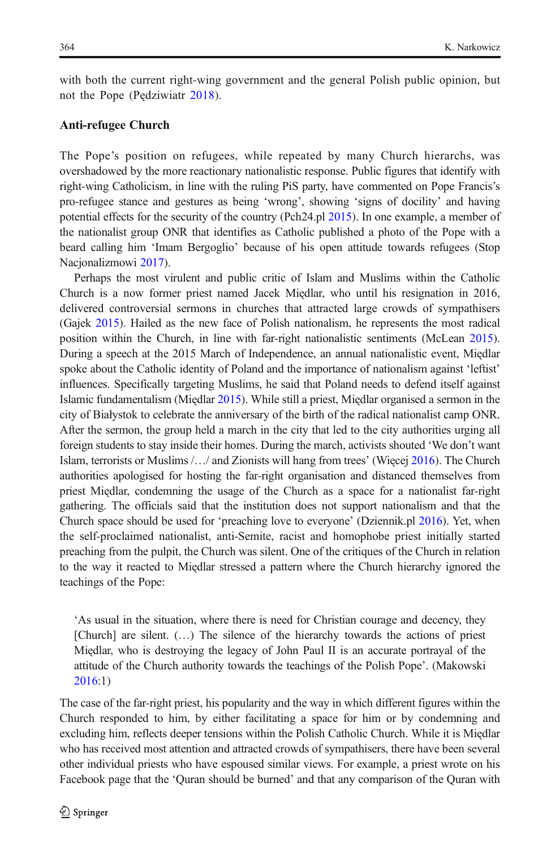with both the current right-wing government and the general Polish public opinion, but not the Pope (Pędziwiatr [2018\)](#page-15-0).

#### Anti-refugee Church

The Pope's position on refugees, while repeated by many Church hierarchs, was overshadowed by the more reactionary nationalistic response. Public figures that identify with right-wing Catholicism, in line with the ruling PiS party, have commented on Pope Francis's pro-refugee stance and gestures as being 'wrong', showing 'signs of docility' and having potential effects for the security of the country (Pch24.pl [2015](#page-15-0)). In one example, a member of the nationalist group ONR that identifies as Catholic published a photo of the Pope with a beard calling him 'Imam Bergoglio' because of his open attitude towards refugees (Stop Nacionalizmowi [2017\)](#page-16-0).

Perhaps the most virulent and public critic of Islam and Muslims within the Catholic Church is a now former priest named Jacek Międlar, who until his resignation in 2016, delivered controversial sermons in churches that attracted large crowds of sympathisers (Gajek [2015\)](#page-14-0). Hailed as the new face of Polish nationalism, he represents the most radical position within the Church, in line with far-right nationalistic sentiments (McLean [2015](#page-15-0)). During a speech at the 2015 March of Independence, an annual nationalistic event, Międlar spoke about the Catholic identity of Poland and the importance of nationalism against 'leftist' influences. Specifically targeting Muslims, he said that Poland needs to defend itself against Islamic fundamentalism (Międlar [2015](#page-15-0)). While still a priest, Międlar organised a sermon in the city of Białystok to celebrate the anniversary of the birth of the radical nationalist camp ONR. After the sermon, the group held a march in the city that led to the city authorities urging all foreign students to stay inside their homes. During the march, activists shouted 'We don't want Islam, terrorists or Muslims /…/ and Zionists will hang from trees' (Więcej [2016](#page-16-0)). The Church authorities apologised for hosting the far-right organisation and distanced themselves from priest Międlar, condemning the usage of the Church as a space for a nationalist far-right gathering. The officials said that the institution does not support nationalism and that the Church space should be used for 'preaching love to everyone' (Dziennik.pl [2016](#page-14-0)). Yet, when the self-proclaimed nationalist, anti-Semite, racist and homophobe priest initially started preaching from the pulpit, the Church was silent. One of the critiques of the Church in relation to the way it reacted to Międlar stressed a pattern where the Church hierarchy ignored the teachings of the Pope:

'As usual in the situation, where there is need for Christian courage and decency, they [Church] are silent. (…) The silence of the hierarchy towards the actions of priest Międlar, who is destroying the legacy of John Paul II is an accurate portrayal of the attitude of the Church authority towards the teachings of the Polish Pope'. (Makowski [2016:](#page-15-0)1)

The case of the far-right priest, his popularity and the way in which different figures within the Church responded to him, by either facilitating a space for him or by condemning and excluding him, reflects deeper tensions within the Polish Catholic Church. While it is Międlar who has received most attention and attracted crowds of sympathisers, there have been several other individual priests who have espoused similar views. For example, a priest wrote on his Facebook page that the 'Quran should be burned' and that any comparison of the Quran with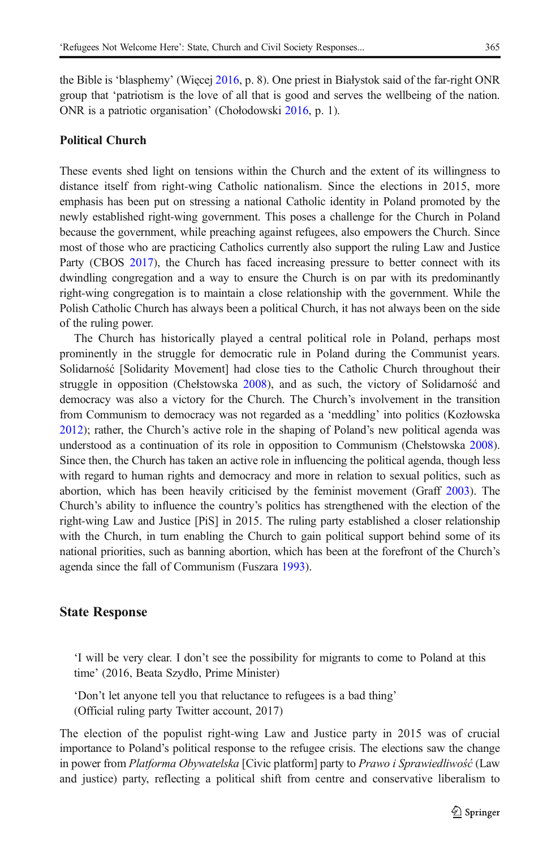the Bible is 'blasphemy' (Więcej [2016,](#page-16-0) p. 8). One priest in Białystok said of the far-right ONR group that 'patriotism is the love of all that is good and serves the wellbeing of the nation. ONR is a patriotic organisation' (Chołodowski [2016](#page-14-0), p. 1).

## Political Church

These events shed light on tensions within the Church and the extent of its willingness to distance itself from right-wing Catholic nationalism. Since the elections in 2015, more emphasis has been put on stressing a national Catholic identity in Poland promoted by the newly established right-wing government. This poses a challenge for the Church in Poland because the government, while preaching against refugees, also empowers the Church. Since most of those who are practicing Catholics currently also support the ruling Law and Justice Party (CBOS [2017](#page-14-0)), the Church has faced increasing pressure to better connect with its dwindling congregation and a way to ensure the Church is on par with its predominantly right-wing congregation is to maintain a close relationship with the government. While the Polish Catholic Church has always been a political Church, it has not always been on the side of the ruling power.

The Church has historically played a central political role in Poland, perhaps most prominently in the struggle for democratic rule in Poland during the Communist years. Solidarność [Solidarity Movement] had close ties to the Catholic Church throughout their struggle in opposition (Chełstowska [2008\)](#page-14-0), and as such, the victory of Solidarność and democracy was also a victory for the Church. The Church's involvement in the transition from Communism to democracy was not regarded as a 'meddling' into politics (Kozłowska [2012](#page-15-0)); rather, the Church's active role in the shaping of Poland's new political agenda was understood as a continuation of its role in opposition to Communism (Chełstowska [2008](#page-14-0)). Since then, the Church has taken an active role in influencing the political agenda, though less with regard to human rights and democracy and more in relation to sexual politics, such as abortion, which has been heavily criticised by the feminist movement (Graff [2003\)](#page-14-0). The Church's ability to influence the country's politics has strengthened with the election of the right-wing Law and Justice [PiS] in 2015. The ruling party established a closer relationship with the Church, in turn enabling the Church to gain political support behind some of its national priorities, such as banning abortion, which has been at the forefront of the Church's agenda since the fall of Communism (Fuszara [1993\)](#page-14-0).

#### State Response

'I will be very clear. I don't see the possibility for migrants to come to Poland at this time' (2016, Beata Szydło, Prime Minister)

'Don't let anyone tell you that reluctance to refugees is a bad thing' (Official ruling party Twitter account, 2017)

The election of the populist right-wing Law and Justice party in 2015 was of crucial importance to Poland's political response to the refugee crisis. The elections saw the change in power from Platforma Obywatelska [Civic platform] party to Prawo i Sprawiedliwość (Law and justice) party, reflecting a political shift from centre and conservative liberalism to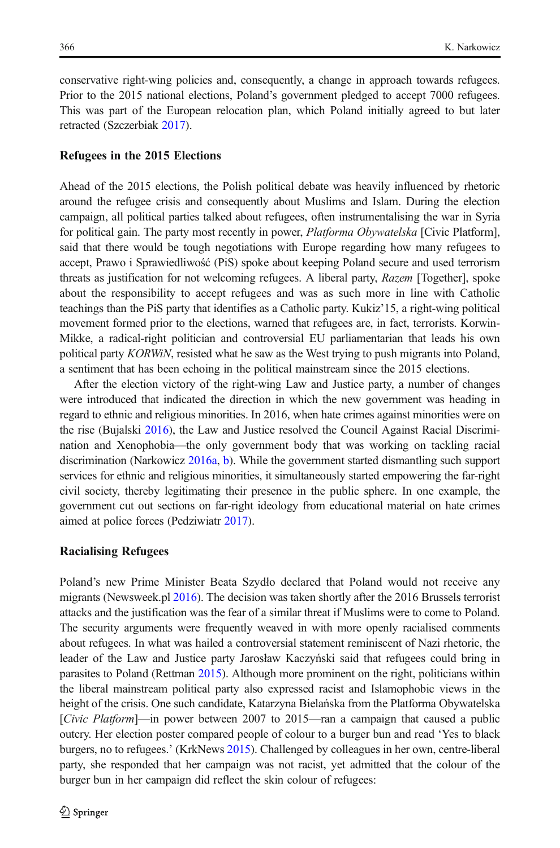conservative right-wing policies and, consequently, a change in approach towards refugees. Prior to the 2015 national elections, Poland's government pledged to accept 7000 refugees. This was part of the European relocation plan, which Poland initially agreed to but later retracted (Szczerbiak [2017\)](#page-16-0).

#### Refugees in the 2015 Elections

Ahead of the 2015 elections, the Polish political debate was heavily influenced by rhetoric around the refugee crisis and consequently about Muslims and Islam. During the election campaign, all political parties talked about refugees, often instrumentalising the war in Syria for political gain. The party most recently in power, *Platforma Obywatelska* [Civic Platform], said that there would be tough negotiations with Europe regarding how many refugees to accept, Prawo i Sprawiedliwość (PiS) spoke about keeping Poland secure and used terrorism threats as justification for not welcoming refugees. A liberal party, Razem [Together], spoke about the responsibility to accept refugees and was as such more in line with Catholic teachings than the PiS party that identifies as a Catholic party. Kukiz'15, a right-wing political movement formed prior to the elections, warned that refugees are, in fact, terrorists. Korwin-Mikke, a radical-right politician and controversial EU parliamentarian that leads his own political party KORWiN, resisted what he saw as the West trying to push migrants into Poland, a sentiment that has been echoing in the political mainstream since the 2015 elections.

After the election victory of the right-wing Law and Justice party, a number of changes were introduced that indicated the direction in which the new government was heading in regard to ethnic and religious minorities. In 2016, when hate crimes against minorities were on the rise (Bujalski [2016](#page-14-0)), the Law and Justice resolved the Council Against Racial Discrimination and Xenophobia—the only government body that was working on tackling racial discrimination (Narkowicz [2016a](#page-15-0), [b\)](#page-15-0). While the government started dismantling such support services for ethnic and religious minorities, it simultaneously started empowering the far-right civil society, thereby legitimating their presence in the public sphere. In one example, the government cut out sections on far-right ideology from educational material on hate crimes aimed at police forces (Pedziwiatr [2017\)](#page-15-0).

#### Racialising Refugees

Poland's new Prime Minister Beata Szydło declared that Poland would not receive any migrants (Newsweek.pl [2016\)](#page-15-0). The decision was taken shortly after the 2016 Brussels terrorist attacks and the justification was the fear of a similar threat if Muslims were to come to Poland. The security arguments were frequently weaved in with more openly racialised comments about refugees. In what was hailed a controversial statement reminiscent of Nazi rhetoric, the leader of the Law and Justice party Jarosław Kaczyński said that refugees could bring in parasites to Poland (Rettman [2015](#page-15-0)). Although more prominent on the right, politicians within the liberal mainstream political party also expressed racist and Islamophobic views in the height of the crisis. One such candidate, Katarzyna Bielańska from the Platforma Obywatelska [Civic Platform]—in power between 2007 to 2015—ran a campaign that caused a public outcry. Her election poster compared people of colour to a burger bun and read 'Yes to black burgers, no to refugees.' (KrkNews [2015\)](#page-15-0). Challenged by colleagues in her own, centre-liberal party, she responded that her campaign was not racist, yet admitted that the colour of the burger bun in her campaign did reflect the skin colour of refugees: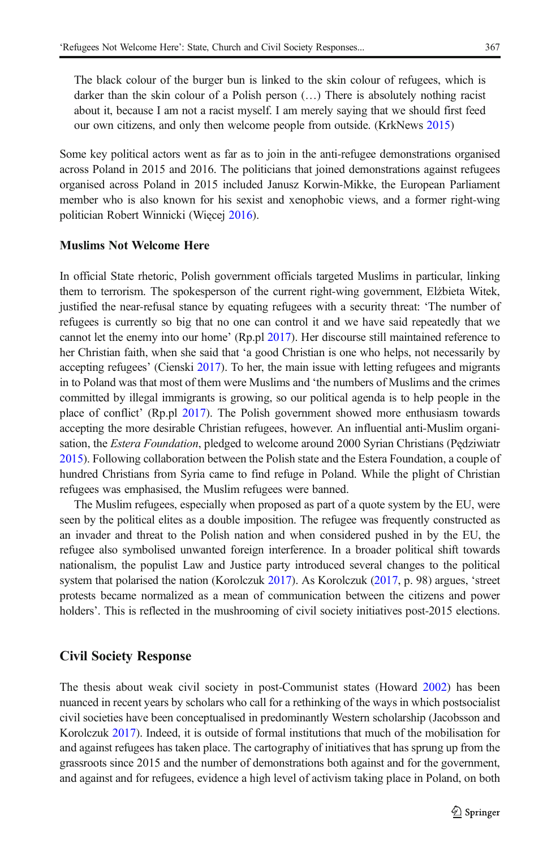The black colour of the burger bun is linked to the skin colour of refugees, which is darker than the skin colour of a Polish person (…) There is absolutely nothing racist about it, because I am not a racist myself. I am merely saying that we should first feed our own citizens, and only then welcome people from outside. (KrkNews [2015\)](#page-15-0)

Some key political actors went as far as to join in the anti-refugee demonstrations organised across Poland in 2015 and 2016. The politicians that joined demonstrations against refugees organised across Poland in 2015 included Janusz Korwin-Mikke, the European Parliament member who is also known for his sexist and xenophobic views, and a former right-wing politician Robert Winnicki (Więcej [2016](#page-16-0)).

#### Muslims Not Welcome Here

In official State rhetoric, Polish government officials targeted Muslims in particular, linking them to terrorism. The spokesperson of the current right-wing government, Elżbieta Witek, justified the near-refusal stance by equating refugees with a security threat: 'The number of refugees is currently so big that no one can control it and we have said repeatedly that we cannot let the enemy into our home' (Rp.pl [2017](#page-15-0)). Her discourse still maintained reference to her Christian faith, when she said that 'a good Christian is one who helps, not necessarily by accepting refugees' (Cienski [2017](#page-14-0)). To her, the main issue with letting refugees and migrants in to Poland was that most of them were Muslims and 'the numbers of Muslims and the crimes committed by illegal immigrants is growing, so our political agenda is to help people in the place of conflict' (Rp.pl [2017\)](#page-15-0). The Polish government showed more enthusiasm towards accepting the more desirable Christian refugees, however. An influential anti-Muslim organisation, the *Estera Foundation*, pledged to welcome around 2000 Syrian Christians (Pedziwiatr [2015](#page-15-0)). Following collaboration between the Polish state and the Estera Foundation, a couple of hundred Christians from Syria came to find refuge in Poland. While the plight of Christian refugees was emphasised, the Muslim refugees were banned.

The Muslim refugees, especially when proposed as part of a quote system by the EU, were seen by the political elites as a double imposition. The refugee was frequently constructed as an invader and threat to the Polish nation and when considered pushed in by the EU, the refugee also symbolised unwanted foreign interference. In a broader political shift towards nationalism, the populist Law and Justice party introduced several changes to the political system that polarised the nation (Korolczuk [2017\)](#page-15-0). As Korolczuk ([2017](#page-15-0), p. 98) argues, 'street protests became normalized as a mean of communication between the citizens and power holders'. This is reflected in the mushrooming of civil society initiatives post-2015 elections.

#### Civil Society Response

The thesis about weak civil society in post-Communist states (Howard [2002\)](#page-14-0) has been nuanced in recent years by scholars who call for a rethinking of the ways in which postsocialist civil societies have been conceptualised in predominantly Western scholarship (Jacobsson and Korolczuk [2017\)](#page-14-0). Indeed, it is outside of formal institutions that much of the mobilisation for and against refugees has taken place. The cartography of initiatives that has sprung up from the grassroots since 2015 and the number of demonstrations both against and for the government, and against and for refugees, evidence a high level of activism taking place in Poland, on both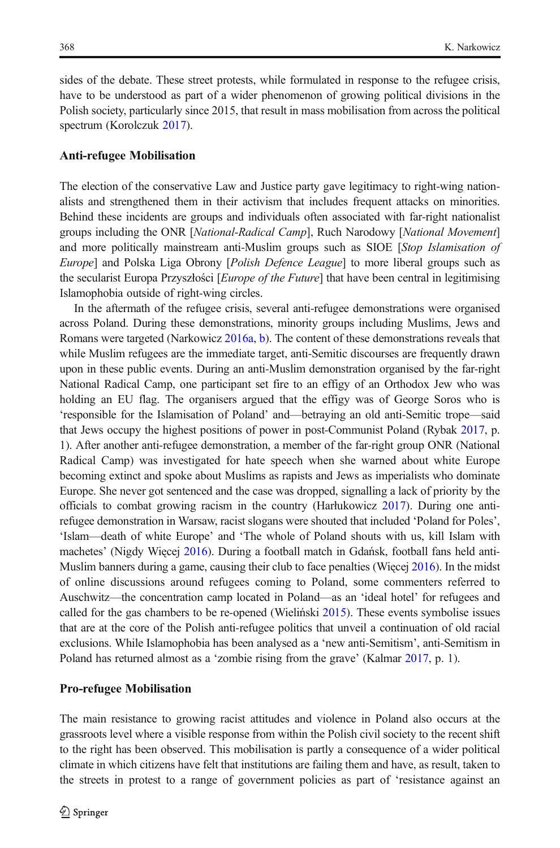sides of the debate. These street protests, while formulated in response to the refugee crisis, have to be understood as part of a wider phenomenon of growing political divisions in the Polish society, particularly since 2015, that result in mass mobilisation from across the political spectrum (Korolczuk [2017](#page-15-0)).

#### Anti-refugee Mobilisation

The election of the conservative Law and Justice party gave legitimacy to right-wing nationalists and strengthened them in their activism that includes frequent attacks on minorities. Behind these incidents are groups and individuals often associated with far-right nationalist groups including the ONR [National-Radical Camp], Ruch Narodowy [National Movement] and more politically mainstream anti-Muslim groups such as SIOE [Stop Islamisation of Europe] and Polska Liga Obrony [*Polish Defence League*] to more liberal groups such as the secularist Europa Przyszłości [*Europe of the Future*] that have been central in legitimising Islamophobia outside of right-wing circles.

In the aftermath of the refugee crisis, several anti-refugee demonstrations were organised across Poland. During these demonstrations, minority groups including Muslims, Jews and Romans were targeted (Narkowicz [2016a,](#page-15-0) [b](#page-15-0)). The content of these demonstrations reveals that while Muslim refugees are the immediate target, anti-Semitic discourses are frequently drawn upon in these public events. During an anti-Muslim demonstration organised by the far-right National Radical Camp, one participant set fire to an effigy of an Orthodox Jew who was holding an EU flag. The organisers argued that the effigy was of George Soros who is 'responsible for the Islamisation of Poland' and—betraying an old anti-Semitic trope—said that Jews occupy the highest positions of power in post-Communist Poland (Rybak [2017](#page-15-0), p. 1). After another anti-refugee demonstration, a member of the far-right group ONR (National Radical Camp) was investigated for hate speech when she warned about white Europe becoming extinct and spoke about Muslims as rapists and Jews as imperialists who dominate Europe. She never got sentenced and the case was dropped, signalling a lack of priority by the officials to combat growing racism in the country (Harłukowicz [2017\)](#page-14-0). During one antirefugee demonstration in Warsaw, racist slogans were shouted that included 'Poland for Poles', 'Islam—death of white Europe' and 'The whole of Poland shouts with us, kill Islam with machetes' (Nigdy Więcej [2016\)](#page-16-0). During a football match in Gdańsk, football fans held anti-Muslim banners during a game, causing their club to face penalties (Więcej [2016\)](#page-16-0). In the midst of online discussions around refugees coming to Poland, some commenters referred to Auschwitz—the concentration camp located in Poland—as an 'ideal hotel' for refugees and called for the gas chambers to be re-opened (Wieliński [2015\)](#page-16-0). These events symbolise issues that are at the core of the Polish anti-refugee politics that unveil a continuation of old racial exclusions. While Islamophobia has been analysed as a 'new anti-Semitism', anti-Semitism in Poland has returned almost as a 'zombie rising from the grave' (Kalmar [2017](#page-14-0), p. 1).

#### Pro-refugee Mobilisation

The main resistance to growing racist attitudes and violence in Poland also occurs at the grassroots level where a visible response from within the Polish civil society to the recent shift to the right has been observed. This mobilisation is partly a consequence of a wider political climate in which citizens have felt that institutions are failing them and have, as result, taken to the streets in protest to a range of government policies as part of 'resistance against an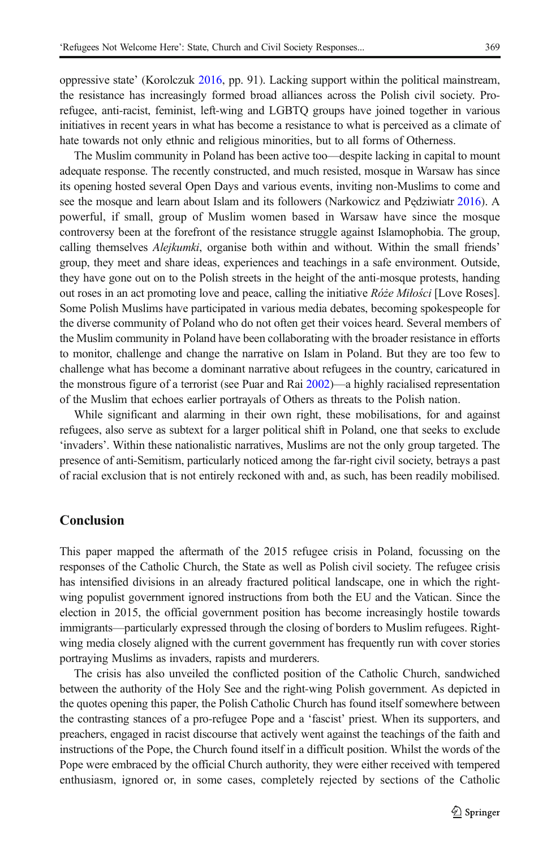oppressive state' (Korolczuk [2016](#page-15-0), pp. 91). Lacking support within the political mainstream, the resistance has increasingly formed broad alliances across the Polish civil society. Prorefugee, anti-racist, feminist, left-wing and LGBTQ groups have joined together in various initiatives in recent years in what has become a resistance to what is perceived as a climate of hate towards not only ethnic and religious minorities, but to all forms of Otherness.

The Muslim community in Poland has been active too—despite lacking in capital to mount adequate response. The recently constructed, and much resisted, mosque in Warsaw has since its opening hosted several Open Days and various events, inviting non-Muslims to come and see the mosque and learn about Islam and its followers (Narkowicz and Pędziwiatr [2016\)](#page-15-0). A powerful, if small, group of Muslim women based in Warsaw have since the mosque controversy been at the forefront of the resistance struggle against Islamophobia. The group, calling themselves *Alejkumki*, organise both within and without. Within the small friends' group, they meet and share ideas, experiences and teachings in a safe environment. Outside, they have gone out on to the Polish streets in the height of the anti-mosque protests, handing out roses in an act promoting love and peace, calling the initiative *Róże Miłości* [Love Roses]. Some Polish Muslims have participated in various media debates, becoming spokespeople for the diverse community of Poland who do not often get their voices heard. Several members of the Muslim community in Poland have been collaborating with the broader resistance in efforts to monitor, challenge and change the narrative on Islam in Poland. But they are too few to challenge what has become a dominant narrative about refugees in the country, caricatured in the monstrous figure of a terrorist (see Puar and Rai [2002\)](#page-15-0)—a highly racialised representation of the Muslim that echoes earlier portrayals of Others as threats to the Polish nation.

While significant and alarming in their own right, these mobilisations, for and against refugees, also serve as subtext for a larger political shift in Poland, one that seeks to exclude 'invaders'. Within these nationalistic narratives, Muslims are not the only group targeted. The presence of anti-Semitism, particularly noticed among the far-right civil society, betrays a past of racial exclusion that is not entirely reckoned with and, as such, has been readily mobilised.

## Conclusion

This paper mapped the aftermath of the 2015 refugee crisis in Poland, focussing on the responses of the Catholic Church, the State as well as Polish civil society. The refugee crisis has intensified divisions in an already fractured political landscape, one in which the rightwing populist government ignored instructions from both the EU and the Vatican. Since the election in 2015, the official government position has become increasingly hostile towards immigrants—particularly expressed through the closing of borders to Muslim refugees. Rightwing media closely aligned with the current government has frequently run with cover stories portraying Muslims as invaders, rapists and murderers.

The crisis has also unveiled the conflicted position of the Catholic Church, sandwiched between the authority of the Holy See and the right-wing Polish government. As depicted in the quotes opening this paper, the Polish Catholic Church has found itself somewhere between the contrasting stances of a pro-refugee Pope and a 'fascist' priest. When its supporters, and preachers, engaged in racist discourse that actively went against the teachings of the faith and instructions of the Pope, the Church found itself in a difficult position. Whilst the words of the Pope were embraced by the official Church authority, they were either received with tempered enthusiasm, ignored or, in some cases, completely rejected by sections of the Catholic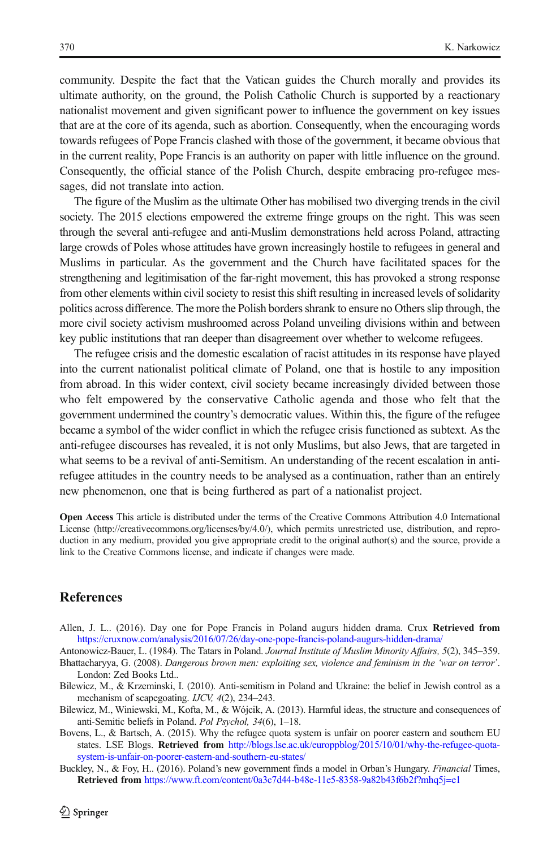<span id="page-13-0"></span>community. Despite the fact that the Vatican guides the Church morally and provides its ultimate authority, on the ground, the Polish Catholic Church is supported by a reactionary nationalist movement and given significant power to influence the government on key issues that are at the core of its agenda, such as abortion. Consequently, when the encouraging words towards refugees of Pope Francis clashed with those of the government, it became obvious that in the current reality, Pope Francis is an authority on paper with little influence on the ground. Consequently, the official stance of the Polish Church, despite embracing pro-refugee messages, did not translate into action.

The figure of the Muslim as the ultimate Other has mobilised two diverging trends in the civil society. The 2015 elections empowered the extreme fringe groups on the right. This was seen through the several anti-refugee and anti-Muslim demonstrations held across Poland, attracting large crowds of Poles whose attitudes have grown increasingly hostile to refugees in general and Muslims in particular. As the government and the Church have facilitated spaces for the strengthening and legitimisation of the far-right movement, this has provoked a strong response from other elements within civil society to resist this shift resulting in increased levels of solidarity politics across difference. The more the Polish borders shrank to ensure no Others slip through, the more civil society activism mushroomed across Poland unveiling divisions within and between key public institutions that ran deeper than disagreement over whether to welcome refugees.

The refugee crisis and the domestic escalation of racist attitudes in its response have played into the current nationalist political climate of Poland, one that is hostile to any imposition from abroad. In this wider context, civil society became increasingly divided between those who felt empowered by the conservative Catholic agenda and those who felt that the government undermined the country's democratic values. Within this, the figure of the refugee became a symbol of the wider conflict in which the refugee crisis functioned as subtext. As the anti-refugee discourses has revealed, it is not only Muslims, but also Jews, that are targeted in what seems to be a revival of anti-Semitism. An understanding of the recent escalation in antirefugee attitudes in the country needs to be analysed as a continuation, rather than an entirely new phenomenon, one that is being furthered as part of a nationalist project.

Open Access This article is distributed under the terms of the Creative Commons Attribution 4.0 International License (http://creativecommons.org/licenses/by/4.0/), which permits unrestricted use, distribution, and reproduction in any medium, provided you give appropriate credit to the original author(s) and the source, provide a link to the Creative Commons license, and indicate if changes were made.

## References

Allen, J. L.. (2016). Day one for Pope Francis in Poland augurs hidden drama. Crux Retrieved from https://cruxnow.com/analysis/2016/07/26/day-one-pope-francis-poland-augurs-hidden-drama/

Antonowicz-Bauer, L. (1984). The Tatars in Poland. Journal Institute of Muslim Minority Affairs, 5(2), 345–359.

- Bhattacharyya, G. (2008). Dangerous brown men: exploiting sex, violence and feminism in the 'war on terror'. London: Zed Books Ltd..
- Bilewicz, M., & Krzeminski, I. (2010). Anti-semitism in Poland and Ukraine: the belief in Jewish control as a mechanism of scapegoating. IJCV, 4(2), 234–243.
- Bilewicz, M., Winiewski, M., Kofta, M., & Wójcik, A. (2013). Harmful ideas, the structure and consequences of anti-Semitic beliefs in Poland. Pol Psychol, 34(6), 1–18.
- Bovens, L., & Bartsch, A. (2015). Why the refugee quota system is unfair on poorer eastern and southern EU states. LSE Blogs. Retrieved from http://blogs.lse.ac.uk/europpblog/2015/10/01/why-the-refugee-quotasystem-is-unfair-on-poorer-eastern-and-southern-eu-states/
- Buckley, N., & Foy, H.. (2016). Poland's new government finds a model in Orban's Hungary. Financial Times, Retrieved from https://www.ft.com/content/0a3c7d44-b48e-11e5-8358-9a82b43f6b2f?mhq5j=e1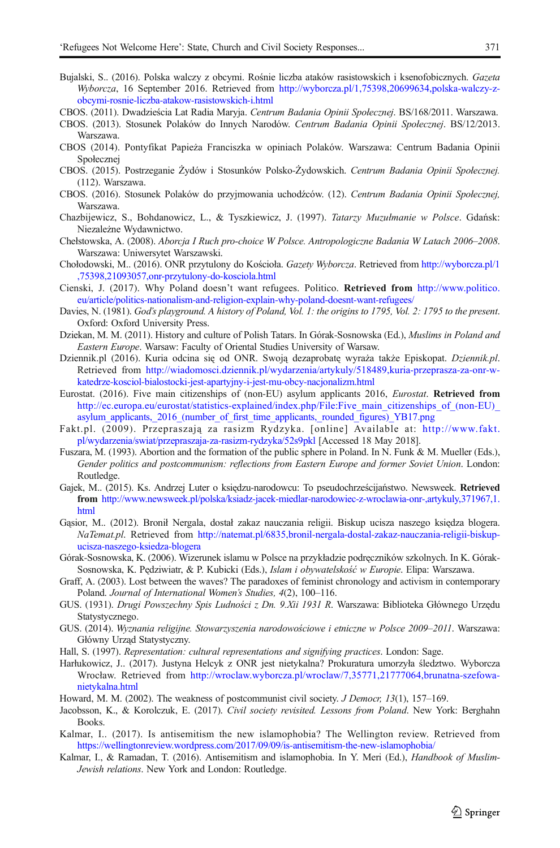- <span id="page-14-0"></span>Bujalski, S.. (2016). Polska walczy z obcymi. Rośnie liczba ataków rasistowskich i ksenofobicznych. Gazeta Wyborcza, 16 September 2016. Retrieved from http://wyborcza.pl/1,75398,20699634,polska-walczy-zobcymi-rosnie-liczba-atakow-rasistowskich-i.html
- CBOS. (2011). Dwadzieścia Lat Radia Maryja. Centrum Badania Opinii Społecznej. BS/168/2011. Warszawa.
- CBOS. (2013). Stosunek Polaków do Innych Narodów. Centrum Badania Opinii Społecznej. BS/12/2013. Warszawa.
- CBOS (2014). Pontyfikat Papieża Franciszka w opiniach Polaków. Warszawa: Centrum Badania Opinii Społecznej
- CBOS. (2015). Postrzeganie Żydów i Stosunków Polsko-Żydowskich. Centrum Badania Opinii Społecznej. (112). Warszawa.
- CBOS. (2016). Stosunek Polaków do przyjmowania uchodźców. (12). Centrum Badania Opinii Społecznej, Warszawa.
- Chazbijewicz, S., Bohdanowicz, L., & Tyszkiewicz, J. (1997). Tatarzy Muzułmanie w Polsce. Gdańsk: Niezależne Wydawnictwo.
- Chełstowska, A. (2008). Aborcja I Ruch pro-choice W Polsce. Antropologiczne Badania W Latach 2006–2008. Warszawa: Uniwersytet Warszawski.
- Chołodowski, M.. (2016). ONR przytulony do Kościoła. Gazety Wyborcza. Retrieved from http://wyborcza.pl/1 ,75398,21093057,onr-przytulony-do-kosciola.html
- Cienski, J. (2017). Why Poland doesn't want refugees. Politico. Retrieved from http://www.politico. eu/article/politics-nationalism-and-religion-explain-why-poland-doesnt-want-refugees/
- Davies, N. (1981). God's playground. A history of Poland, Vol. 1: the origins to 1795, Vol. 2: 1795 to the present. Oxford: Oxford University Press.
- Dziekan, M. M. (2011). History and culture of Polish Tatars. In Górak-Sosnowska (Ed.), Muslims in Poland and Eastern Europe. Warsaw: Faculty of Oriental Studies University of Warsaw.
- Dziennik.pl (2016). Kuria odcina się od ONR. Swoją dezaprobatę wyraża także Episkopat. Dziennik.pl. Retrieved from http://wiadomosci.dziennik.pl/wydarzenia/artykuly/518489,kuria-przeprasza-za-onr-wkatedrze-kosciol-bialostocki-jest-apartyjny-i-jest-mu-obcy-nacjonalizm.html
- Eurostat. (2016). Five main citizenships of (non-EU) asylum applicants 2016, *Eurostat*. Retrieved from http://ec.europa.eu/eurostat/statistics-explained/index.php/File:Five\_main\_citizenships\_of\_(non-EU)\_ asylum\_applicants,\_2016\_(number\_of\_first\_time\_applicants,\_rounded\_figures)\_YB17.png
- Fakt.pl. (2009). Przepraszają za rasizm Rydzyka. [online] Available at: http://www.fakt. pl/wydarzenia/swiat/przepraszaja-za-rasizm-rydzyka/52s9pkl [Accessed 18 May 2018].
- Fuszara, M. (1993). Abortion and the formation of the public sphere in Poland. In N. Funk & M. Mueller (Eds.), Gender politics and postcommunism: reflections from Eastern Europe and former Soviet Union. London: Routledge.
- Gajek, M.. (2015). Ks. Andrzej Luter o księdzu-narodowcu: To pseudochrześcijaństwo. Newsweek. Retrieved from http://www.newsweek.pl/polska/ksiadz-jacek-miedlar-narodowiec-z-wroclawia-onr-,artykuly,371967,1. html
- Gąsior, M.. (2012). Bronił Nergala, dostał zakaz nauczania religii. Biskup ucisza naszego księdza blogera. NaTemat.pl. Retrieved from http://natemat.pl/6835,bronil-nergala-dostal-zakaz-nauczania-religii-biskupucisza-naszego-ksiedza-blogera
- Górak-Sosnowska, K. (2006). Wizerunek islamu w Polsce na przykładzie podręczników szkolnych. In K. Górak-Sosnowska, K. Pędziwiatr, & P. Kubicki (Eds.), Islam i obywatelskość w Europie. Elipa: Warszawa.
- Graff, A. (2003). Lost between the waves? The paradoxes of feminist chronology and activism in contemporary Poland. Journal of International Women's Studies, 4(2), 100–116.
- GUS. (1931). Drugi Powszechny Spis Ludności z Dn. 9.Xii 1931 R. Warszawa: Biblioteka Głównego Urzędu Statystycznego.
- GUS. (2014). Wyznania religijne. Stowarzyszenia narodowościowe i etniczne w Polsce 2009–2011. Warszawa: Główny Urząd Statystyczny.
- Hall, S. (1997). Representation: cultural representations and signifying practices. London: Sage.
- Harłukowicz, J.. (2017). Justyna Helcyk z ONR jest nietykalna? Prokuratura umorzyła śledztwo. Wyborcza Wrocław. Retrieved from http://wroclaw.wyborcza.pl/wroclaw/7,35771,21777064,brunatna-szefowanietykalna.html
- Howard, M. M. (2002). The weakness of postcommunist civil society. J Democr, 13(1), 157-169.
- Jacobsson, K., & Korolczuk, E. (2017). Civil society revisited. Lessons from Poland. New York: Berghahn Books.
- Kalmar, I.. (2017). Is antisemitism the new islamophobia? The Wellington review. Retrieved from https://wellingtonreview.wordpress.com/2017/09/09/is-antisemitism-the-new-islamophobia/
- Kalmar, I., & Ramadan, T. (2016). Antisemitism and islamophobia. In Y. Meri (Ed.), Handbook of Muslim-Jewish relations. New York and London: Routledge.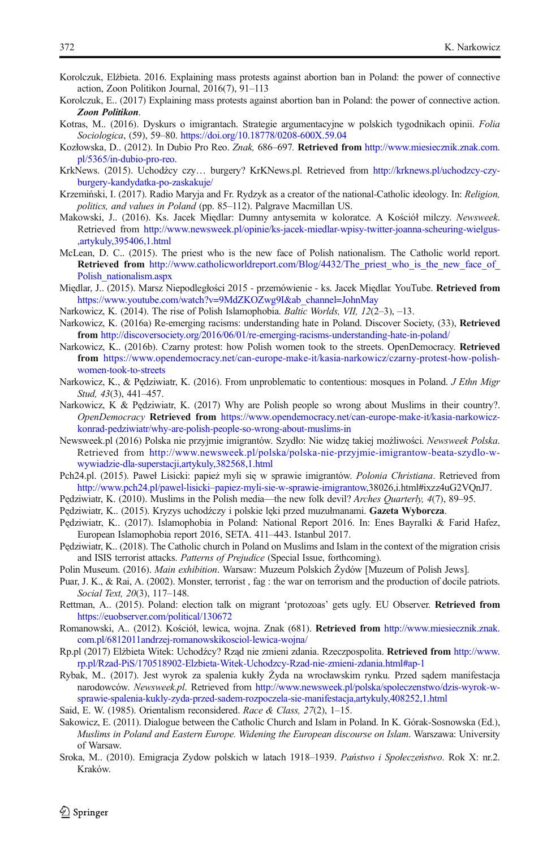- <span id="page-15-0"></span>Korolczuk, Elżbieta. 2016. Explaining mass protests against abortion ban in Poland: the power of connective action, Zoon Politikon Journal, 2016(7), 91–113
- Korolczuk, E.. (2017) Explaining mass protests against abortion ban in Poland: the power of connective action. Zoon Politikon.
- Kotras, M., (2016). Dyskurs o imigrantach. Strategie argumentacyjne w polskich tygodnikach opinii. Folia Sociologica, (59), 59–80. https://doi.org/10.18778/0208-600X.59.04
- Kozłowska, D.. (2012). In Dubio Pro Reo. Znak, 686-697. Retrieved from http://www.miesiecznik.znak.com. pl/5365/in-dubio-pro-reo.
- KrkNews. (2015). Uchodźcy czy… burgery? KrKNews.pl. Retrieved from http://krknews.pl/uchodzcy-czyburgery-kandydatka-po-zaskakuje/
- Krzemiński, I. (2017). Radio Maryja and Fr. Rydzyk as a creator of the national-Catholic ideology. In: Religion, politics, and values in Poland (pp. 85–112). Palgrave Macmillan US.
- Makowski, J.. (2016). Ks. Jacek Międlar: Dumny antysemita w koloratce. A Kościół milczy. Newsweek. Retrieved from http://www.newsweek.pl/opinie/ks-jacek-miedlar-wpisy-twitter-joanna-scheuring-wielgus- ,artykuly,395406,1.html
- McLean, D. C.. (2015). The priest who is the new face of Polish nationalism. The Catholic world report. Retrieved from http://www.catholicworldreport.com/Blog/4432/The priest who is the new face of Polish\_nationalism.aspx
- Międlar, J.. (2015). Marsz Niepodległości 2015 przemówienie ks. Jacek Międlar. YouTube. Retrieved from https://www.youtube.com/watch?v=9MdZKOZwg9I&ab\_channel=JohnMay
- Narkowicz, K. (2014). The rise of Polish Islamophobia. *Baltic Worlds, VII, 12*(2–3), -13.
- Narkowicz, K. (2016a) Re-emerging racisms: understanding hate in Poland. Discover Society, (33), Retrieved from http://discoversociety.org/2016/06/01/re-emerging-racisms-understanding-hate-in-poland/
- Narkowicz, K.. (2016b). Czarny protest: how Polish women took to the streets. OpenDemocracy. Retrieved from https://www.opendemocracy.net/can-europe-make-it/kasia-narkowicz/czarny-protest-how-polishwomen-took-to-streets
- Narkowicz, K., & Pędziwiatr, K. (2016). From unproblematic to contentious: mosques in Poland. *J Ethn Migr* Stud, 43(3), 441–457.
- Narkowicz, K & Pędziwiatr, K. (2017) Why are Polish people so wrong about Muslims in their country?. OpenDemocracy Retrieved from https://www.opendemocracy.net/can-europe-make-it/kasia-narkowiczkonrad-pedziwiatr/why-are-polish-people-so-wrong-about-muslims-in
- Newsweek.pl (2016) Polska nie przyjmie imigrantów. Szydło: Nie widzę takiej możliwości. Newsweek Polska. Retrieved from http://www.newsweek.pl/polska/polska-nie-przyjmie-imigrantow-beata-szydlo-wwywiadzie-dla-superstacji,artykuly,382568,1.html
- Pch24.pl. (2015). Paweł Lisicki: papież myli się w sprawie imigrantów. Polonia Christiana. Retrieved from http://www.pch24.pl/pawel-lisicki–papiez-myli-sie-w-sprawie-imigrantow,38026,i.html#ixzz4uG2VQnJ7.
- Pędziwiatr, K. (2010). Muslims in the Polish media—the new folk devil? Arches Quarterly, 4(7), 89–95.
- Pedziwiatr, K.. (2015). Kryzys uchodźczy i polskie lęki przed muzułmanami. Gazeta Wyborcza.
- Pędziwiatr, K.. (2017). Islamophobia in Poland: National Report 2016. In: Enes Bayralki & Farid Hafez, European Islamophobia report 2016, SETA. 411–443. Istanbul 2017.
- Pędziwiatr, K.. (2018). The Catholic church in Poland on Muslims and Islam in the context of the migration crisis and ISIS terrorist attacks. Patterns of Prejudice (Special Issue, forthcoming).
- Polin Museum. (2016). Main exhibition. Warsaw: Muzeum Polskich Żydów [Muzeum of Polish Jews].
- Puar, J. K., & Rai, A. (2002). Monster, terrorist , fag : the war on terrorism and the production of docile patriots. Social Text, 20(3), 117–148.
- Rettman, A.. (2015). Poland: election talk on migrant 'protozoas' gets ugly. EU Observer. Retrieved from https://euobserver.com/political/130672
- Romanowski, A.. (2012). Kościół, lewica, wojna. Znak (681). Retrieved from http://www.miesiecznik.znak. com.pl/6812011andrzej-romanowskikosciol-lewica-wojna/
- Rp.pl (2017) Elżbieta Witek: Uchodźcy? Rząd nie zmieni zdania. Rzeczpospolita. Retrieved from http://www. rp.pl/Rzad-PiS/170518902-Elzbieta-Witek-Uchodzcy-Rzad-nie-zmieni-zdania.html#ap-1
- Rybak, M.. (2017). Jest wyrok za spalenia kukły Żyda na wrocławskim rynku. Przed sądem manifestacja narodowców. Newsweek.pl. Retrieved from http://www.newsweek.pl/polska/spoleczenstwo/dzis-wyrok-wsprawie-spalenia-kukly-zyda-przed-sadem-rozpoczela-sie-manifestacja,artykuly,408252,1.html

Said, E. W. (1985). Orientalism reconsidered. Race & Class, 27(2), 1–15.

- Sakowicz, E. (2011). Dialogue between the Catholic Church and Islam in Poland. In K. Górak-Sosnowska (Ed.), Muslims in Poland and Eastern Europe. Widening the European discourse on Islam. Warszawa: University of Warsaw.
- Sroka, M.. (2010). Emigracja Zydow polskich w latach 1918–1939. Państwo i Społeczeństwo. Rok X: nr.2. Kraków.